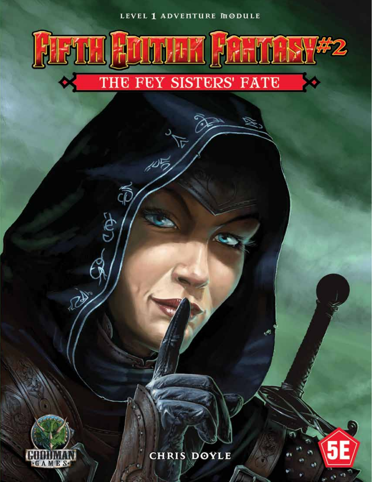LEVEL 1 ADVENTURE MODULE



١C

Cm

200



CHRIS DOYLE



الهم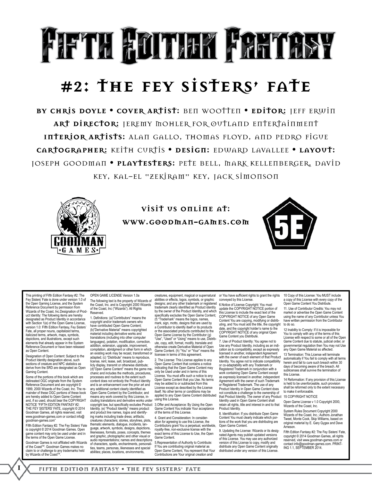

# **#2: the fey sisters' fate**

**By chris doyle • Cover Artist:** Ben Wootten **• Editor:** Jeff Erwin **Art Director:** Jeremy Mohler for Outland Entertainment **Interior Artists:** Alan Gallo, Thomas Floyd, and Pedro Figue **Cartographer:** Keith Curtis **• Design:** Edward Lavallee **• layout:**  Joseph goodman **• Playtesters:** Pete Bell, Mark Kellenberger, David Key, Kal-El "Zekiram" Key, Jack Simonson



**Visit us online at: www.goodman-games.com**



This printing of Fifth Edition Fantasy #2: The Fey Sisters' Fate is done under version 1.0 of the Open Gaming License, and the System Reference Document by permission from Wizards of the Coast, Inc.Designation of Product Identity: The following items are hereby designated as Product Identity in accordance with Section 1(e) of the Open Game License, version 1.0: Fifth Edition Fantasy, Fey Sisters' Fate, all proper nouns, capitalized terms, italicized terms, artwork, maps, symbols, depictions, and illustrations, except such elements that already appear in the System Reference Document or have been released as Open Content.

Designation of Open Content: Subject to the and I dentity designation above, such sections of creature and NPC statistics as derive from the SRD are designated as Open Gaming Content.

Some of the portions of this book which are delineated OGC originate from the System Reference Document and are copyright © 1999, 2000 Wizards of the Coast, Inc. The remainder of these OGC portions of these book are hereby added to Open Game Content and, if so used, should bear the COPYRIGHT NOTICE "FIFTH EDITION FANTASY #2: THE FEY SISTERS' FATE, copyright © 2014 Goodman Games, all rights reserved, visit www.goodman-games.com or contact info@ goodman-games.com"

Fifth Edition Fantasy #2: The Fey Sisters' Fate is copyright © 2014 Goodman Games. Open game content may only be used under and in the terms of the Open Game License.

Goodman Games is not affiliated with Wizards of the Coast™. Goodman Games makes no claim to or challenge to any trademarks held by Wizards of the Coast™

**1**

OPEN GAME LICENSE Version 1.0a The following text is the property of Wizards of the Coast, Inc. and is Copyright 2000 Wizards of the Coast, Inc ("Wizards"). All Rights Reserved.

1. Definitions: (a)"Contributors" means the copyright and/or trademark owners who have contributed Open Game Content; (b)"Derivative Material" means copyrighted material including derivative works and translations (including into other computer languages), potation, modification, correction, addition, extension, upgrade, improvement, compilation, abridgment or other form in which an existing work may be recast, transformed or adapted; (c) "Distribute" means to reproduce, license, rent, lease, sell, broadcast, publicly display, transmit or otherwise distribute; (d)"Open Game Content" means the game mechanic and includes the methods, procedures, processes and routines to the extent such content does not embody the Product Identity and is an enhancement over the prior art and any additional content clearly identified as Open Game Content by the Contributor, and means any work covered by this License, including translations and derivative works under copyright law, but specifically excludes Product 3.Offer and Acceptance: By Using the Open Identity. (e) "Product Identity" means product and product line names, logos and identify-ing marks including trade dress; artifacts; creatures characters; stories, storylines, plots, thematic elements, dialogue, incidents, lan-

guage, artwork, symbols, designs, depictions, likenesses, formats, poses, concepts, themes and graphic, photographic and other visual or audio representations; names and descriptions of characters, spells, enchantments, personali-ties, teams, personas, likenesses and special abilities; places, locations, environments,

creatures, equipment, magical or supernatural abilities or effects, logos, symbols, or graphic designs; and any other trademark or registered trademark clearly identified as Product identity by the owner of the Product Identity, and which specifically excludes the Open Game Content;

(f) "Trademark" means the logos, names, mark, sign, motto, designs that are used by a Contributor to identify itself or its products or the associated products contributed to the Open Game License by the Contributor (g) "Use", "Used" or "Using" means to use, Distribute, copy, edit, format, modify, translate and se create Derivative Material of Open Game Content. (h) "You" or "Your" means the licensee in terms of this agreement.

2. The License: This License applies to any Open Game Content that contains a notice indicating that the Open Game Content may only be Used under and in terms of this License. You must affix such a notice to any Open Game Content that you Use. No terms may be added to or subtracted from this License except as described by the License itself. No other terms or conditions may be applied to any Open Game Content distributed using this License.

Game Content You indicate Your acceptance of the terms of this License.

4. Grant and Consideration: In consideration for agreeing to use this License, the Contributors grant You a perpetual, worldwide, royalty-free, non-exclusive license with the exact terms of this License to Use, the Open Game Content.

5.Representation of Authority to Contribute: If You are contributing original material as Open Game Content, You represent that Your Contributions are Your original creation and/

or You have sufficient rights to grant the rights conveyed by this License.

6.Notice of License Copyright: You must update the COPYRIGHT NOTICE portion of this License to include the exact text of the COPYRIGHT NOTICE of any Open Game Content You are copying, modifying or distrib-uting, and You must add the title, the copyright date, and the copyright holder's name to the COPYRIGHT NOTICE of any original Open Game Content you Distribute.

7. Use of Product Identity: You agree not to Use any Product Identity, including as an indication as to compatibility, except as expressly licensed in another, independent Agree with the owner of each element of that Product Identity. You agree not to indicate compatibility or co-adaptability with any Trademark or Registered Trademark in conjunction with a work containing Open Game Content except as expressly licensed in another, independent Agreement with the owner of such Trademark or Registered Trademark. The use of any Product Identity in Open Game Content does not constitute a challenge to the ownership of that Product Identity. The owner of any Product 15 COPYRIGHT NOTICE Identity used in Open Game Content shall<br>retain all rights, title and interest in and to t all rights, title and interest in and to that Product Identity.

8. Identification: If you distribute Open Game Content You must clearly indicate which portions of the work that you are distributing are Open Game Content.

9. Updating the License: Wizards or its designated Agents may publish updated versions of this License. You may use any authorized version of this License to copy, modify and distribute any Open Game Content originally distributed under any version of this License.

10 Copy of this License: You MUST includ a copy of this License with every copy of the Open Game Content You Distribute.

11. Use of Contributor Credits: You may not market or advertise the Open Game Content using the name of any Contributor unless You have written permission from the Contributor to do so.

12 Inability to Comply: If it is impossible for You to comply with any of the terms of this License with respect to some or all of the Open Game Content due to statute, judicial order, or governmental regulation then You may not Use any Open Game Material so affected.

13 Termination: This License will terminate automatically if You fail to comply with all terms herein and fail to cure such breach within 30 days of becoming aware of the breach. All sublicenses shall survive the termination of this License.

14 Reformation: If any provision of this License is held to be unenforceable, such provision shall be reformed only to the extent necessary to make it enforceable

Open Game License v 1.0 Copyright 2000, Wizards of the Coast, Inc.

System Rules Document Copyright 2000 Wizards of the Coast, Inc.; Authors Jonathan Tweet, Monte Cook, Skip Williams, based on original material by E. Gary Gygax and Dave Arneson.

Fifth Edition Fantasy #2: The Fey Sisters' Fate, copyright © 2014 Goodman Games, all rights reserved, visit www.goodman-games.co contact info@goodman-games.com. PRINT-ING 1.1, SEPTEMBER 2014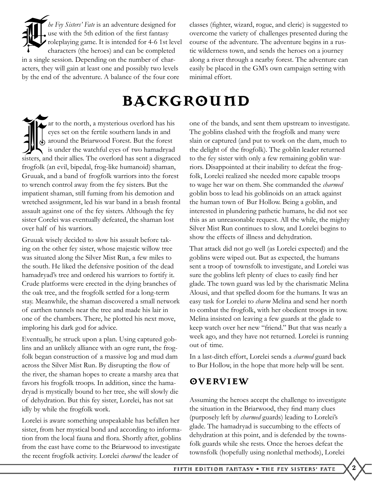T*he Fey Sisters' Fate* is an adventure designed for use with the 5th edition of the first fantasy roleplaying game. It is intended for 4-6 1st level characters (the heroes) and can be completed in a single session. Depending on the number of characters, they will gain at least one and possibly two levels by the end of the adventure. A balance of the four core

classes (fighter, wizard, rogue, and cleric) is suggested to overcome the variety of challenges presented during the course of the adventure. The adventure begins in a rustic wilderness town, and sends the heroes on a journey along a river through a nearby forest. The adventure can easily be placed in the GM's own campaign setting with minimal effort.

## **BACKGROUND**

ar to the north, a mysterious overlord has his eyes set on the fertile southern lands in and around the Briarwood Forest. But the forest is under the watchful eyes of two hamadryad eyes set on the fertile southern lands in and around the Briarwood Forest. But the forest is under the watchful eyes of two hamadryad sisters, and their allies. The overlord has sent a disgraced frogfolk (an evil, bipedal, frog-like humanoid) shaman, Gruuak, and a band of frogfolk warriors into the forest to wrench control away from the fey sisters. But the impatient shaman, still fuming from his demotion and wretched assignment, led his war band in a brash frontal assault against one of the fey sisters. Although the fey sister Corelei was eventually defeated, the shaman lost over half of his warriors.

Gruuak wisely decided to slow his assault before taking on the other fey sister, whose majestic willow tree was situated along the Silver Mist Run, a few miles to the south. He liked the defensive position of the dead hamadryad's tree and ordered his warriors to fortify it. Crude platforms were erected in the dying branches of the oak tree, and the frogfolk settled for a long-term stay. Meanwhile, the shaman discovered a small network of earthen tunnels near the tree and made his lair in one of the chambers. There, he plotted his next move, imploring his dark god for advice.

Eventually, he struck upon a plan. Using captured goblins and an unlikely alliance with an ogre runt, the frogfolk began construction of a massive log and mud dam across the Silver Mist Run. By disrupting the flow of the river, the shaman hopes to create a marshy area that favors his frogfolk troops. In addition, since the hamadryad is mystically bound to her tree, she will slowly die of dehydration. But this fey sister, Lorelei, has not sat idly by while the frogfolk work.

Lorelei is aware something unspeakable has befallen her sister, from her mystical bond and according to information from the local fauna and flora. Shortly after, goblins from the east have come to the Briarwood to investigate the recent frogfolk activity. Lorelei *charmed* the leader of

one of the bands, and sent them upstream to investigate. The goblins clashed with the frogfolk and many were slain or captured (and put to work on the dam, much to the delight of the frogfolk). The goblin leader returned to the fey sister with only a few remaining goblin warriors. Disappointed at their inability to defeat the frogfolk, Lorelei realized she needed more capable troops to wage her war on them. She commanded the *charmed* goblin boss to lead his goblinoids on an attack against the human town of Bur Hollow. Being a goblin, and interested in plundering pathetic humans, he did not see this as an unreasonable request. All the while, the mighty Silver Mist Run continues to slow, and Lorelei begins to show the effects of illness and dehydration.

That attack did not go well (as Lorelei expected) and the goblins were wiped out. But as expected, the humans sent a troop of townsfolk to investigate, and Lorelei was sure the goblins left plenty of clues to easily find her glade. The town guard was led by the charismatic Melina Alousi, and that spelled doom for the humans. It was an easy task for Lorelei to *charm* Melina and send her north to combat the frogfolk, with her obedient troops in tow. Melina insisted on leaving a few guards at the glade to keep watch over her new "friend." But that was nearly a week ago, and they have not returned. Lorelei is running out of time.

In a last-ditch effort, Lorelei sends a *charmed* guard back to Bur Hollow, in the hope that more help will be sent.

## **OVERVIEW**

Assuming the heroes accept the challenge to investigate the situation in the Briarwood, they find many clues (purposely left by *charmed* guards) leading to Lorelei's glade. The hamadryad is succumbing to the effects of dehydration at this point, and is defended by the townsfolk guards while she rests. Once the heroes defeat the townsfolk (hopefully using nonlethal methods), Lorelei

**2**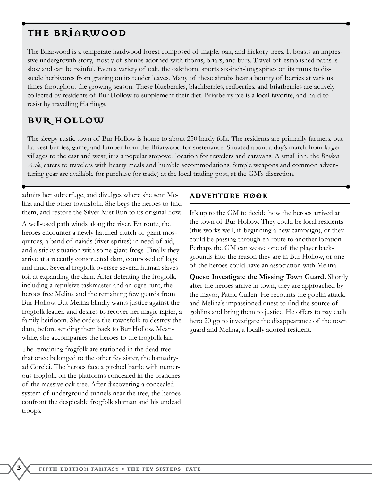## **The Briarwood**

The Briarwood is a temperate hardwood forest composed of maple, oak, and hickory trees. It boasts an impressive undergrowth story, mostly of shrubs adorned with thorns, briars, and burs. Travel off established paths is slow and can be painful. Even a variety of oak, the oakthorn, sports six-inch-long spines on its trunk to dissuade herbivores from grazing on its tender leaves. Many of these shrubs bear a bounty of berries at various times throughout the growing season. These blueberries, blackberries, redberries, and briarberries are actively collected by residents of Bur Hollow to supplement their diet. Briarberry pie is a local favorite, and hard to resist by travelling Halflings.

## **Bur Hollow**

The sleepy rustic town of Bur Hollow is home to about 250 hardy folk. The residents are primarily farmers, but harvest berries, game, and lumber from the Briarwood for sustenance. Situated about a day's march from larger villages to the east and west, it is a popular stopover location for travelers and caravans. A small inn, the *Broken Axle*, caters to travelers with hearty meals and humble accommodations. Simple weapons and common adventuring gear are available for purchase (or trade) at the local trading post, at the GM's discretion.

admits her subterfuge, and divulges where she sent Melina and the other townsfolk. She begs the heroes to find them, and restore the Silver Mist Run to its original flow.

A well-used path winds along the river. En route, the heroes encounter a newly hatched clutch of giant mosquitoes, a band of naiads (river sprites) in need of aid, and a sticky situation with some giant frogs. Finally they arrive at a recently constructed dam, composed of logs and mud. Several frogfolk oversee several human slaves toil at expanding the dam. After defeating the frogfolk, including a repulsive taskmaster and an ogre runt, the heroes free Melina and the remaining few guards from Bur Hollow. But Melina blindly wants justice against the frogfolk leader, and desires to recover her magic rapier, a family heirloom. She orders the townsfolk to destroy the dam, before sending them back to Bur Hollow. Meanwhile, she accompanies the heroes to the frogfolk lair.

The remaining frogfolk are stationed in the dead tree that once belonged to the other fey sister, the hamadryad Corelei. The heroes face a pitched battle with numerous frogfolk on the platforms concealed in the branches of the massive oak tree. After discovering a concealed system of underground tunnels near the tree, the heroes confront the despicable frogfolk shaman and his undead troops.

#### **ADVENTURE HOOK**

It's up to the GM to decide how the heroes arrived at the town of Bur Hollow. They could be local residents (this works well, if beginning a new campaign), or they could be passing through en route to another location. Perhaps the GM can weave one of the player backgrounds into the reason they are in Bur Hollow, or one of the heroes could have an association with Melina.

**Quest: Investigate the Missing Town Guard.** Shortly after the heroes arrive in town, they are approached by the mayor, Patric Cullen. He recounts the goblin attack, and Melina's impassioned quest to find the source of goblins and bring them to justice. He offers to pay each hero 20 gp to investigate the disappearance of the town guard and Melina, a locally adored resident.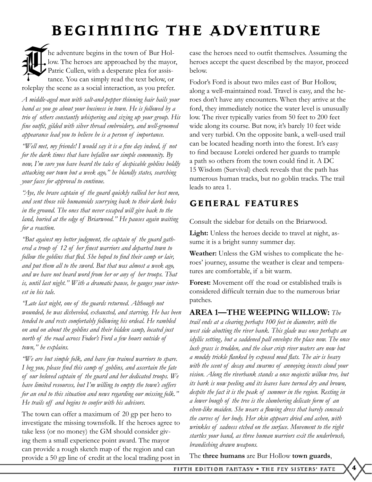# **BEGINNING THE ADVENTURE**

The adventure begins in the town of Bur Hollow. The heroes are approached by the mayor Patric Cullen, with a desperate plea for assistance. You can simply read the text below, or low. The heroes are approached by the mayor, Patric Cullen, with a desperate plea for assistance. You can simply read the text below, or roleplay the scene as a social interaction, as you prefer.

*A middle-aged man with salt-and-pepper thinning hair hails your band as you go about your business in town. He is followed by a trio of others constantly whispering and sizing up your group. His fine outfit, gilded with silver thread embroidery, and well-groomed appearance lead you to believe he is a person of importance.*

*"Well met, my friends! I would say it is a fine day indeed, if not for the dark times that have befallen our simple community. By now, I'm sure you have heard the tales of despicable goblins boldly attacking our town but a week ago," he blandly states, searching your faces for approval to continue.*

*"Aye, the brave captain of the guard quickly rallied her best men, and sent those vile humanoids scurrying back to their dark holes in the ground. The ones that never escaped will give back to the land, buried at the edge of Briarwood." He pauses again waiting for a reaction.*

*"But against my better judgment, the captain of the guard gathered a troop of 12 of her finest warriors and departed town to follow the goblins that fled. She hoped to find their camp or lair, and put them all to the sword. But that was almost a week ago, and we have not heard word from her or any of her troops. That is, until last night." With a dramatic pause, he gauges your interest in his tale.*

*"Late last night, one of the guards returned. Although not wounded, he was disheveled, exhausted, and starving. He has been tended to and rests comfortably following his ordeal. He rambled on and on about the goblins and their hidden camp, located just north of the road across Fodor's Ford a few hours outside of town," he explains.* 

*"We are but simple folk, and have few trained warriors to spare. I beg you, please find this camp of goblins, and ascertain the fate of our beloved captain of the guard and her dedicated troops. We have limited resources, but I'm willing to empty the town's coffers for an end to this situation and news regarding our missing folk." He trails off and begins to confer with his advisors.* 

The town can offer a maximum of 20 gp per hero to investigate the missing townsfolk. If the heroes agree to take less (or no money) the GM should consider giving them a small experience point award. The mayor can provide a rough sketch map of the region and can provide a 50 gp line of credit at the local trading post in

case the heroes need to outfit themselves. Assuming the heroes accept the quest described by the mayor, proceed below.

Fodor's Ford is about two miles east of Bur Hollow, along a well-maintained road. Travel is easy, and the heroes don't have any encounters. When they arrive at the ford, they immediately notice the water level is unusually low. The river typically varies from 50 feet to 200 feet wide along its course. But now, it's barely 10 feet wide and very turbid. On the opposite bank, a well-used trail can be located heading north into the forest. It's easy to find because Lorelei ordered her guards to trample a path so others from the town could find it. A DC 15 Wisdom (Survival) check reveals that the path has numerous human tracks, but no goblin tracks. The trail leads to area 1.

## **GENERAL FEATURES**

Consult the sidebar for details on the Briarwood.

**Light:** Unless the heroes decide to travel at night, assume it is a bright sunny summer day.

**Weather:** Unless the GM wishes to complicate the heroes' journey, assume the weather is clear and temperatures are comfortable, if a bit warm.

**Forest:** Movement off the road or established trails is considered difficult terrain due to the numerous briar patches.

#### **Area 1—The Weeping Willow:** *The*

*trail ends at a clearing perhaps 100 feet in diameter, with the west side abutting the river bank. This glade was once perhaps an idyllic setting, but a saddened pall envelops the place now. The once lush grass is trodden, and the clear crisp river waters are now but a muddy trickle flanked by exposed mud flats. The air is heavy with the scent of decay and swarms of annoying insects cloud your vision. Along the riverbank stands a once majestic willow tree, but its bark is now peeling and its leaves have turned dry and brown,*  despite the fact it is the peak of summer in the region. Resting in *a lower bough of the tree is the slumbering delicate form of an elven-like maiden. She wears a flowing dress that barely conceals the curves of her body. Her skin appears dried and ashen, with wrinkles of sadness etched on the surface. Movement to the right startles your band, as three human warriors exit the underbrush, brandishing drawn weapons.* 

The **three humans** are Bur Hollow **town guards**,

**4**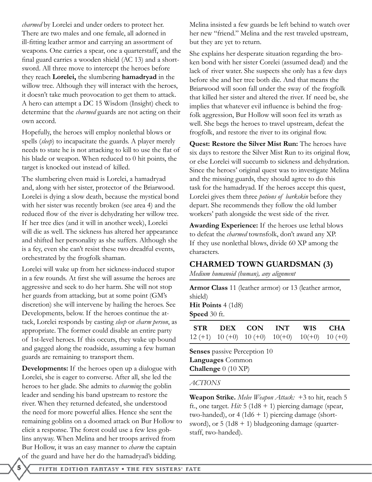*charmed* by Lorelei and under orders to protect her. There are two males and one female, all adorned in ill-fitting leather armor and carrying an assortment of weapons. One carries a spear, one a quarterstaff, and the final guard carries a wooden shield (AC 13) and a shortsword. All three move to intercept the heroes before they reach **Lorelei,** the slumbering **hamadryad** in the willow tree. Although they will interact with the heroes, it doesn't take much provocation to get them to attack. A hero can attempt a DC 15 Wisdom (Insight) check to determine that the *charmed* guards are not acting on their own accord.

Hopefully, the heroes will employ nonlethal blows or spells (*sleep*) to incapacitate the guards. A player merely needs to state he is not attacking to kill to use the flat of his blade or weapon. When reduced to 0 hit points, the target is knocked out instead of killed.

The slumbering elven maid is Lorelei, a hamadryad and, along with her sister, protector of the Briarwood. Lorelei is dying a slow death, because the mystical bond with her sister was recently broken (see area 4) and the reduced flow of the river is dehydrating her willow tree. If her tree dies (and it will in another week), Lorelei will die as well. The sickness has altered her appearance and shifted her personality as she suffers. Although she is a fey, even she can't resist these two dreadful events, orchestrated by the frogfolk shaman.

Lorelei will wake up from her sickness-induced stupor in a few rounds. At first she will assume the heroes are aggressive and seek to do her harm. She will not stop her guards from attacking, but at some point (GM's discretion) she will intervene by hailing the heroes. See Developments, below. If the heroes continue the attack, Lorelei responds by casting *sleep* or *charm person*, as appropriate. The former could disable an entire party of 1st-level heroes. If this occurs, they wake up bound and gagged along the roadside, assuming a few human guards are remaining to transport them.

**Developments:** If the heroes open up a dialogue with Lorelei, she is eager to converse. After all, she led the heroes to her glade. She admits to *charming* the goblin leader and sending his band upstream to restore the river. When they returned defeated, she understood the need for more powerful allies. Hence she sent the remaining goblins on a doomed attack on Bur Hollow to elicit a response. The forest could use a few less goblins anyway. When Melina and her troops arrived from Bur Hollow, it was an easy manner to *charm* the captain of the guard and have her do the hamadryad's bidding.

Melina insisted a few guards be left behind to watch over her new "friend." Melina and the rest traveled upstream, but they are yet to return.

She explains her desperate situation regarding the broken bond with her sister Corelei (assumed dead) and the lack of river water. She suspects she only has a few days before she and her tree both die. And that means the Briarwood will soon fall under the sway of the frogfolk that killed her sister and altered the river. If need be, she implies that whatever evil influence is behind the frogfolk aggression, Bur Hollow will soon feel its wrath as well. She begs the heroes to travel upstream, defeat the frogfolk, and restore the river to its original flow.

**Quest: Restore the Silver Mist Run:** The heroes have six days to restore the Silver Mist Run to its original flow, or else Lorelei will succumb to sickness and dehydration. Since the heroes' original quest was to investigate Melina and the missing guards, they should agree to do this task for the hamadryad. If the heroes accept this quest, Lorelei gives them three *potions of barkskin* before they depart. She recommends they follow the old lumber workers' path alongside the west side of the river.

**Awarding Experience:** If the heroes use lethal blows to defeat the *charmed* townsfolk, don't award any XP. If they use nonlethal blows, divide 60 XP among the characters.

#### **CHARMED TOWN GUARDSMAN (3)**

*Medium humanoid (human), any alignment*

**Armor Class** 11 (leather armor) or 13 (leather armor, shield) **Hit Points** 4 (1d8) **Speed** 30 ft.

|                                     |  | STR DEX CON INT                                             |  |  | WIS CHA |
|-------------------------------------|--|-------------------------------------------------------------|--|--|---------|
|                                     |  | $12 (+1)$ $10 (+0)$ $10 (+0)$ $10 (+0)$ $10 (+0)$ $10 (+0)$ |  |  |         |
| <b>Senses</b> passive Perception 10 |  |                                                             |  |  |         |

**Languages** Common **Challenge** 0 (10 XP)

#### *ACTIONS*

**Weapon Strike.** *Melee Weapon Attack:*+3 to hit, reach 5 ft., one target. *Hit*:  $5(1d8 + 1)$  piercing damage (spear, two-handed), or  $4(1d6 + 1)$  piercing damage (shortsword), or  $5(1d8 + 1)$  bludgeoning damage (quarterstaff, two-handed).